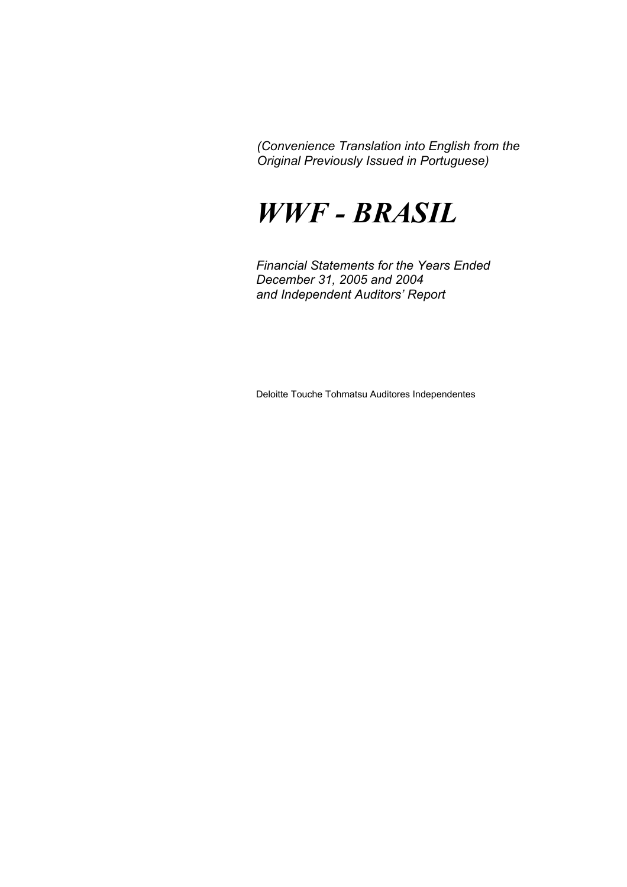# *WWF - BRASIL*

*Financial Statements for the Years Ended December 31, 2005 and 2004 and Independent Auditors' Report* 

Deloitte Touche Tohmatsu Auditores Independentes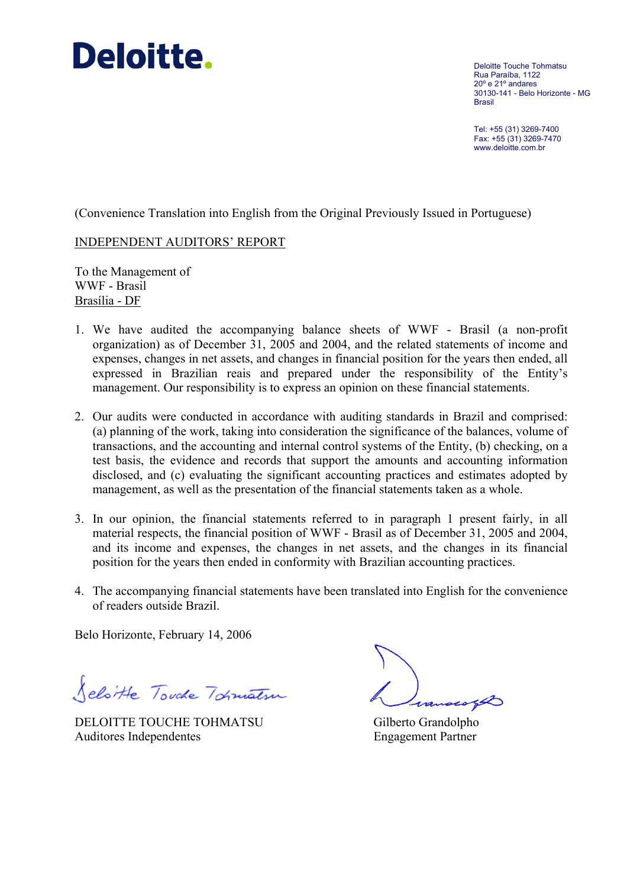# **Deloitte.**

Deloitte Touche Tohmatsu Rua Paraíba, 1122 20º e 21º andares 30130-141 - Belo Horizonte - MG Brasil

Tel: +55 (31) 3269-7400 Fax: +55 (31) 3269-7470 www.deloitte.com.br

(Convenience Translation into English from the Original Previously Issued in Portuguese)

#### INDEPENDENT AUDITORS' REPORT

To the Management of WWF - Brasil Brasília - DF

- 1. We have audited the accompanying balance sheets of WWF Brasil (a non-profit organization) as of December 31, 2005 and 2004, and the related statements of income and expenses, changes in net assets, and changes in financial position for the years then ended, all expressed in Brazilian reais and prepared under the responsibility of the Entity's management. Our responsibility is to express an opinion on these financial statements.
- 2. Our audits were conducted in accordance with auditing standards in Brazil and comprised: (a) planning of the work, taking into consideration the significance of the balances, volume of transactions, and the accounting and internal control systems of the Entity, (b) checking, on a test basis, the evidence and records that support the amounts and accounting information disclosed, and (c) evaluating the significant accounting practices and estimates adopted by management, as well as the presentation of the financial statements taken as a whole.
- 3. In our opinion, the financial statements referred to in paragraph 1 present fairly, in all material respects, the financial position of WWF - Brasil as of December 31, 2005 and 2004, and its income and expenses, the changes in net assets, and the changes in its financial position for the years then ended in conformity with Brazilian accounting practices.
- 4. The accompanying financial statements have been translated into English for the convenience of readers outside Brazil.

Belo Horizonte, February 14, 2006

Seloitte Touche Tokmatsur

DELOITTE TOUCHE TOHMATSU Gilberto Grandolpho Auditores Independentes Engagement Partner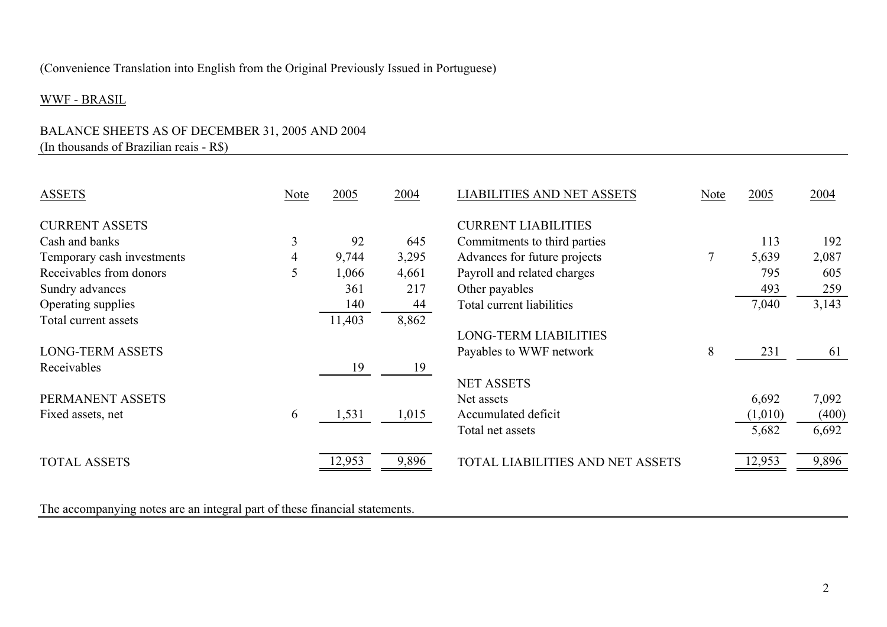# WWF - BRASIL

# BALANCE SHEETS AS OF DECEMBER 31, 2005 AND 2004 (In thousands of Brazilian reais - R\$)

| <b>ASSETS</b>              | Note | 2005   | 2004  | <b>LIABILITIES AND NET ASSETS</b> | Note | 2005    | 2004  |
|----------------------------|------|--------|-------|-----------------------------------|------|---------|-------|
| <b>CURRENT ASSETS</b>      |      |        |       | <b>CURRENT LIABILITIES</b>        |      |         |       |
| Cash and banks             | 3    | 92     | 645   | Commitments to third parties      |      | 113     | 192   |
| Temporary cash investments | 4    | 9,744  | 3,295 | Advances for future projects      |      | 5,639   | 2,087 |
| Receivables from donors    | 5    | 1,066  | 4,661 | Payroll and related charges       |      | 795     | 605   |
| Sundry advances            |      | 361    | 217   | Other payables                    |      | 493     | 259   |
| Operating supplies         |      | 140    | 44    | Total current liabilities         |      | 7,040   | 3,143 |
| Total current assets       |      | 11,403 | 8,862 |                                   |      |         |       |
|                            |      |        |       | <b>LONG-TERM LIABILITIES</b>      |      |         |       |
| <b>LONG-TERM ASSETS</b>    |      |        |       | Payables to WWF network           | 8    | 231     | 61    |
| Receivables                |      | 19     | 19    |                                   |      |         |       |
|                            |      |        |       | <b>NET ASSETS</b>                 |      |         |       |
| PERMANENT ASSETS           |      |        |       | Net assets                        |      | 6,692   | 7,092 |
| Fixed assets, net          | 6    | 1,531  | 1,015 | Accumulated deficit               |      | (1,010) | (400) |
|                            |      |        |       | Total net assets                  |      | 5,682   | 6,692 |
| <b>TOTAL ASSETS</b>        |      | 12,953 | 9,896 | TOTAL LIABILITIES AND NET ASSETS  |      | 12,953  | 9,896 |
|                            |      |        |       |                                   |      |         |       |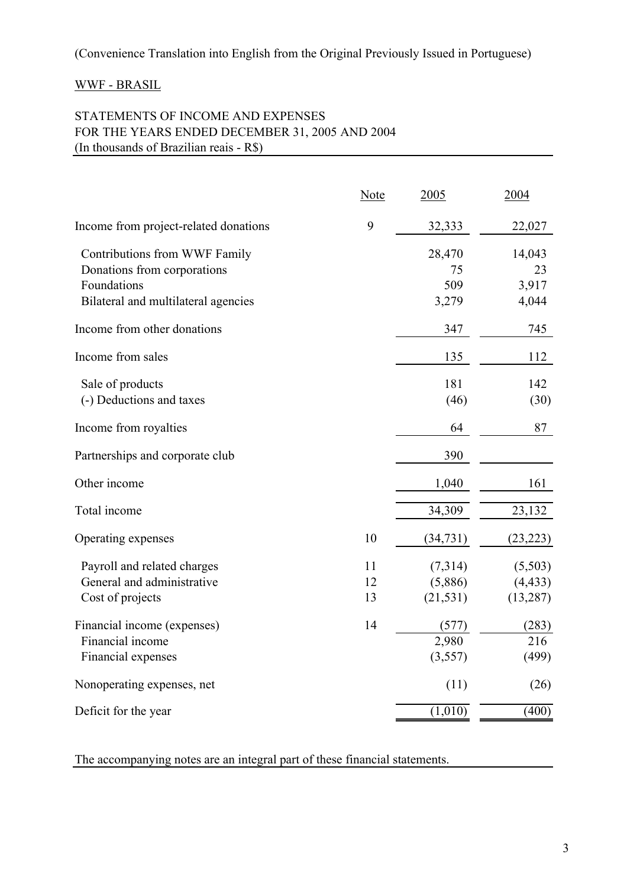# WWF - BRASIL

# STATEMENTS OF INCOME AND EXPENSES FOR THE YEARS ENDED DECEMBER 31, 2005 AND 2004 (In thousands of Brazilian reais - R\$)

|                                                                               | <b>Note</b>    | 2005                            | 2004                             |
|-------------------------------------------------------------------------------|----------------|---------------------------------|----------------------------------|
| Income from project-related donations                                         | 9              | 32,333                          | 22,027                           |
| Contributions from WWF Family<br>Donations from corporations                  |                | 28,470<br>75                    | 14,043<br>23                     |
| Foundations<br>Bilateral and multilateral agencies                            |                | 509<br>3,279                    | 3,917<br>4,044                   |
| Income from other donations                                                   |                | 347                             | 745                              |
| Income from sales                                                             |                | 135                             | 112                              |
| Sale of products<br>(-) Deductions and taxes                                  |                | 181<br>(46)                     | 142<br>(30)                      |
| Income from royalties                                                         |                | 64                              | 87                               |
| Partnerships and corporate club                                               |                | 390                             |                                  |
| Other income                                                                  |                | 1,040                           | 161                              |
| Total income                                                                  |                | 34,309                          | 23,132                           |
| Operating expenses                                                            | 10             | (34, 731)                       | (23, 223)                        |
| Payroll and related charges<br>General and administrative<br>Cost of projects | 11<br>12<br>13 | (7,314)<br>(5,886)<br>(21, 531) | (5,503)<br>(4, 433)<br>(13, 287) |
| Financial income (expenses)<br>Financial income<br>Financial expenses         | 14             | (577)<br>2,980<br>(3,557)       | (283)<br>216<br>(499)            |
| Nonoperating expenses, net                                                    |                | (11)                            | (26)                             |
| Deficit for the year                                                          |                | (1,010)                         | (400)                            |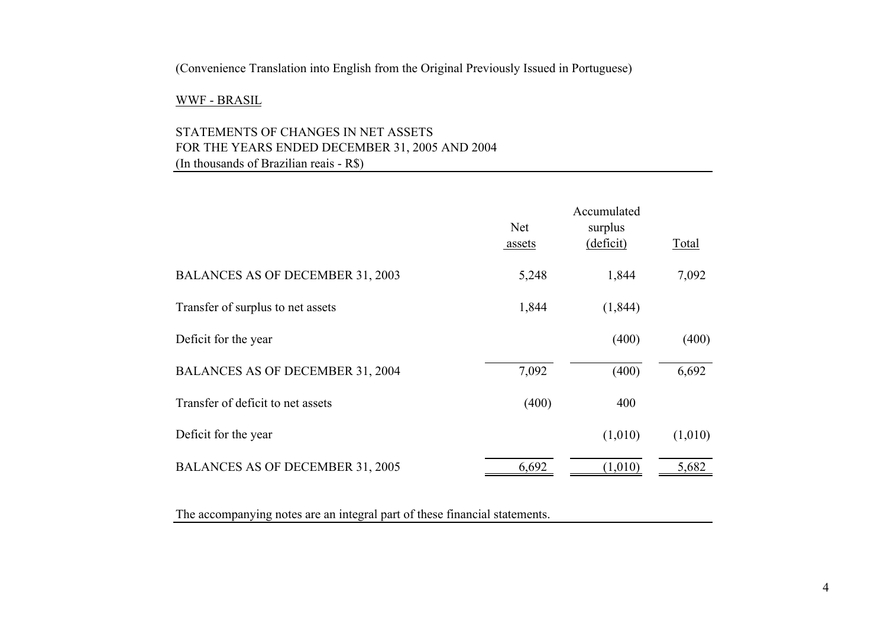#### WWF - BRASIL

# STATEMENTS OF CHANGES IN NET ASSETS FOR THE YEARS ENDED DECEMBER 31, 2005 AND 2004 (In thousands of Brazilian reais - R\$)

|                                         | <b>Net</b><br>assets | Accumulated<br>surplus<br>(deficit) | Total   |
|-----------------------------------------|----------------------|-------------------------------------|---------|
| <b>BALANCES AS OF DECEMBER 31, 2003</b> | 5,248                | 1,844                               | 7,092   |
| Transfer of surplus to net assets       | 1,844                | (1, 844)                            |         |
| Deficit for the year                    |                      | (400)                               | (400)   |
| <b>BALANCES AS OF DECEMBER 31, 2004</b> | 7,092                | (400)                               | 6,692   |
| Transfer of deficit to net assets       | (400)                | 400                                 |         |
| Deficit for the year                    |                      | (1,010)                             | (1,010) |
| <b>BALANCES AS OF DECEMBER 31, 2005</b> | 6,692                | (1,010)                             | 5,682   |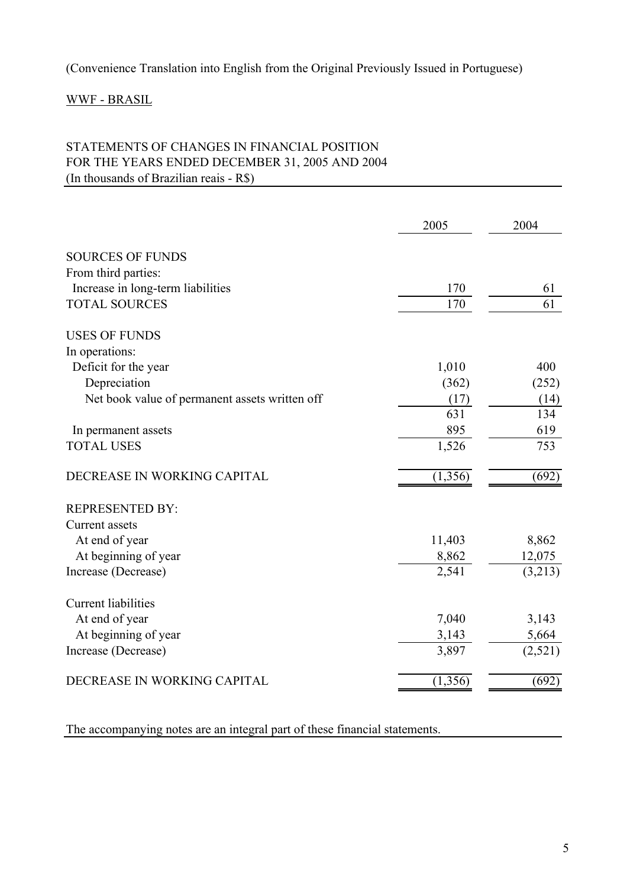# WWF - BRASIL

# STATEMENTS OF CHANGES IN FINANCIAL POSITION FOR THE YEARS ENDED DECEMBER 31, 2005 AND 2004 (In thousands of Brazilian reais - R\$)

|                                                | 2005     | 2004    |
|------------------------------------------------|----------|---------|
|                                                |          |         |
| <b>SOURCES OF FUNDS</b>                        |          |         |
| From third parties:                            |          |         |
| Increase in long-term liabilities              | 170      | 61      |
| <b>TOTAL SOURCES</b>                           | 170      | 61      |
| <b>USES OF FUNDS</b>                           |          |         |
| In operations:                                 |          |         |
| Deficit for the year                           | 1,010    | 400     |
| Depreciation                                   | (362)    | (252)   |
| Net book value of permanent assets written off | (17)     | (14)    |
|                                                | 631      | 134     |
| In permanent assets                            | 895      | 619     |
| <b>TOTAL USES</b>                              | 1,526    | 753     |
| DECREASE IN WORKING CAPITAL                    | (1, 356) | (692)   |
| <b>REPRESENTED BY:</b>                         |          |         |
| <b>Current</b> assets                          |          |         |
| At end of year                                 | 11,403   | 8,862   |
| At beginning of year                           | 8,862    | 12,075  |
| Increase (Decrease)                            | 2,541    | (3,213) |
| <b>Current liabilities</b>                     |          |         |
| At end of year                                 | 7,040    | 3,143   |
| At beginning of year                           | 3,143    | 5,664   |
| Increase (Decrease)                            | 3,897    | (2,521) |
| DECREASE IN WORKING CAPITAL                    | (1,356)  | (692)   |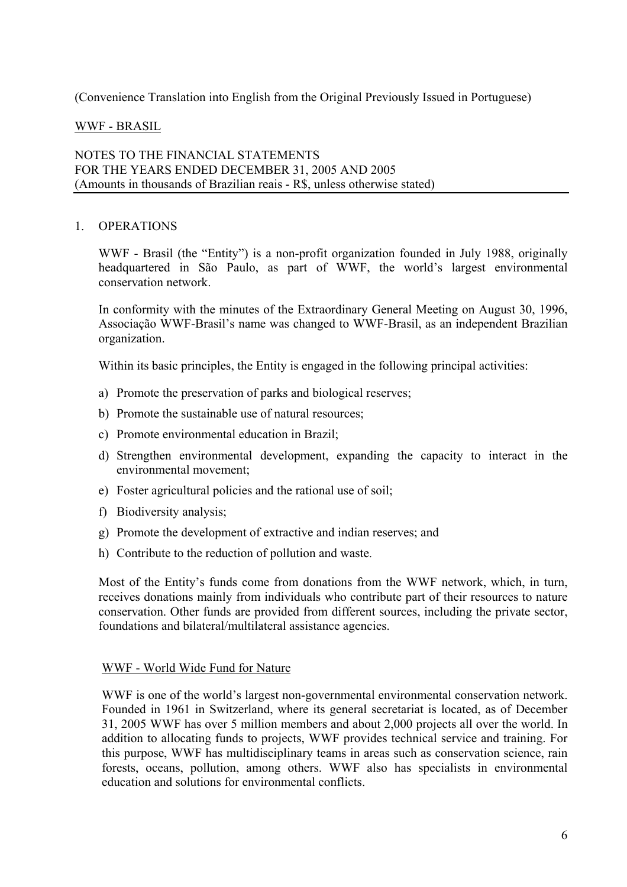# WWF - BRASIL

#### NOTES TO THE FINANCIAL STATEMENTS FOR THE YEARS ENDED DECEMBER 31, 2005 AND 2005 (Amounts in thousands of Brazilian reais - R\$, unless otherwise stated)

#### 1. OPERATIONS

WWF - Brasil (the "Entity") is a non-profit organization founded in July 1988, originally headquartered in São Paulo, as part of WWF, the world's largest environmental conservation network.

In conformity with the minutes of the Extraordinary General Meeting on August 30, 1996, Associação WWF-Brasil's name was changed to WWF-Brasil, as an independent Brazilian organization.

Within its basic principles, the Entity is engaged in the following principal activities:

- a) Promote the preservation of parks and biological reserves;
- b) Promote the sustainable use of natural resources;
- c) Promote environmental education in Brazil;
- d) Strengthen environmental development, expanding the capacity to interact in the environmental movement;
- e) Foster agricultural policies and the rational use of soil;
- f) Biodiversity analysis;
- g) Promote the development of extractive and indian reserves; and
- h) Contribute to the reduction of pollution and waste.

Most of the Entity's funds come from donations from the WWF network, which, in turn, receives donations mainly from individuals who contribute part of their resources to nature conservation. Other funds are provided from different sources, including the private sector, foundations and bilateral/multilateral assistance agencies.

#### WWF - World Wide Fund for Nature

WWF is one of the world's largest non-governmental environmental conservation network. Founded in 1961 in Switzerland, where its general secretariat is located, as of December 31, 2005 WWF has over 5 million members and about 2,000 projects all over the world. In addition to allocating funds to projects, WWF provides technical service and training. For this purpose, WWF has multidisciplinary teams in areas such as conservation science, rain forests, oceans, pollution, among others. WWF also has specialists in environmental education and solutions for environmental conflicts.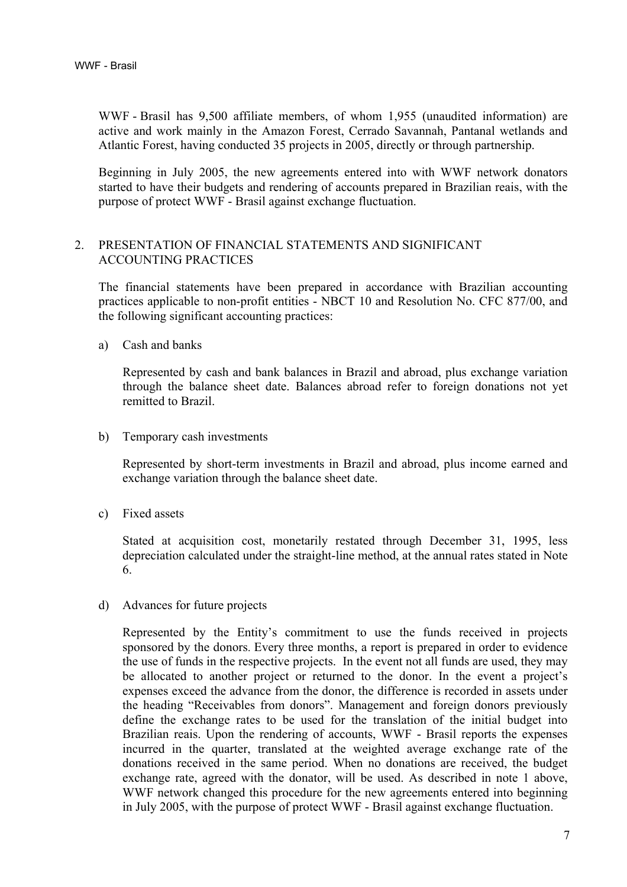WWF - Brasil has 9,500 affiliate members, of whom 1,955 (unaudited information) are active and work mainly in the Amazon Forest, Cerrado Savannah, Pantanal wetlands and Atlantic Forest, having conducted 35 projects in 2005, directly or through partnership.

Beginning in July 2005, the new agreements entered into with WWF network donators started to have their budgets and rendering of accounts prepared in Brazilian reais, with the purpose of protect WWF - Brasil against exchange fluctuation.

#### 2. PRESENTATION OF FINANCIAL STATEMENTS AND SIGNIFICANT ACCOUNTING PRACTICES

The financial statements have been prepared in accordance with Brazilian accounting practices applicable to non-profit entities - NBCT 10 and Resolution No. CFC 877/00, and the following significant accounting practices:

a) Cash and banks

Represented by cash and bank balances in Brazil and abroad, plus exchange variation through the balance sheet date. Balances abroad refer to foreign donations not yet remitted to Brazil.

b) Temporary cash investments

Represented by short-term investments in Brazil and abroad, plus income earned and exchange variation through the balance sheet date.

c) Fixed assets

Stated at acquisition cost, monetarily restated through December 31, 1995, less depreciation calculated under the straight-line method, at the annual rates stated in Note 6.

d) Advances for future projects

Represented by the Entity's commitment to use the funds received in projects sponsored by the donors. Every three months, a report is prepared in order to evidence the use of funds in the respective projects. In the event not all funds are used, they may be allocated to another project or returned to the donor. In the event a project's expenses exceed the advance from the donor, the difference is recorded in assets under the heading "Receivables from donors". Management and foreign donors previously define the exchange rates to be used for the translation of the initial budget into Brazilian reais. Upon the rendering of accounts, WWF - Brasil reports the expenses incurred in the quarter, translated at the weighted average exchange rate of the donations received in the same period. When no donations are received, the budget exchange rate, agreed with the donator, will be used. As described in note 1 above, WWF network changed this procedure for the new agreements entered into beginning in July 2005, with the purpose of protect WWF - Brasil against exchange fluctuation.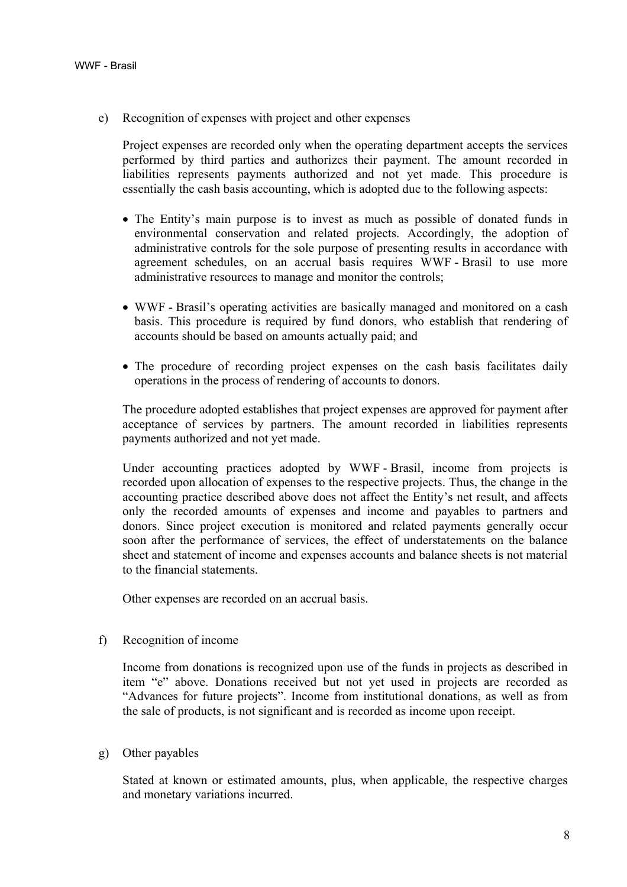e) Recognition of expenses with project and other expenses

Project expenses are recorded only when the operating department accepts the services performed by third parties and authorizes their payment. The amount recorded in liabilities represents payments authorized and not yet made. This procedure is essentially the cash basis accounting, which is adopted due to the following aspects:

- The Entity's main purpose is to invest as much as possible of donated funds in environmental conservation and related projects. Accordingly, the adoption of administrative controls for the sole purpose of presenting results in accordance with agreement schedules, on an accrual basis requires WWF - Brasil to use more administrative resources to manage and monitor the controls;
- WWF Brasil's operating activities are basically managed and monitored on a cash basis. This procedure is required by fund donors, who establish that rendering of accounts should be based on amounts actually paid; and
- The procedure of recording project expenses on the cash basis facilitates daily operations in the process of rendering of accounts to donors.

The procedure adopted establishes that project expenses are approved for payment after acceptance of services by partners. The amount recorded in liabilities represents payments authorized and not yet made.

Under accounting practices adopted by WWF - Brasil, income from projects is recorded upon allocation of expenses to the respective projects. Thus, the change in the accounting practice described above does not affect the Entity's net result, and affects only the recorded amounts of expenses and income and payables to partners and donors. Since project execution is monitored and related payments generally occur soon after the performance of services, the effect of understatements on the balance sheet and statement of income and expenses accounts and balance sheets is not material to the financial statements.

Other expenses are recorded on an accrual basis.

f) Recognition of income

Income from donations is recognized upon use of the funds in projects as described in item "e" above. Donations received but not yet used in projects are recorded as "Advances for future projects". Income from institutional donations, as well as from the sale of products, is not significant and is recorded as income upon receipt.

g) Other payables

Stated at known or estimated amounts, plus, when applicable, the respective charges and monetary variations incurred.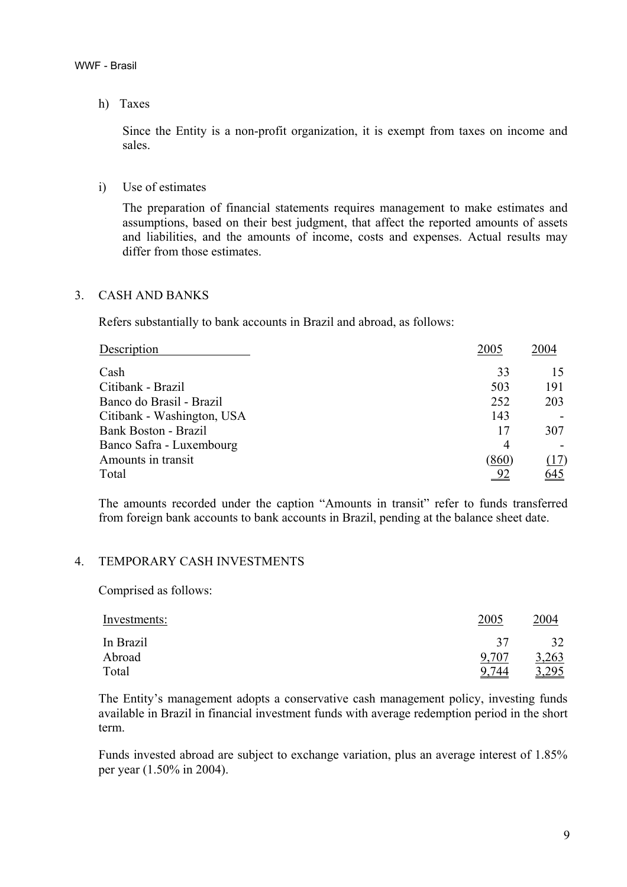h) Taxes

Since the Entity is a non-profit organization, it is exempt from taxes on income and sales.

i) Use of estimates

The preparation of financial statements requires management to make estimates and assumptions, based on their best judgment, that affect the reported amounts of assets and liabilities, and the amounts of income, costs and expenses. Actual results may differ from those estimates.

#### 3. CASH AND BANKS

Refers substantially to bank accounts in Brazil and abroad, as follows:

| Description                | 2005           | 2004 |
|----------------------------|----------------|------|
| Cash                       | 33             |      |
| Citibank - Brazil          | 503            | 191  |
| Banco do Brasil - Brazil   | 252            | 203  |
| Citibank - Washington, USA | 143            |      |
| Bank Boston - Brazil       | 17             | 307  |
| Banco Safra - Luxembourg   | $\overline{4}$ |      |
| Amounts in transit         | (860)          | (17) |
| Total                      | 92             | 645  |

The amounts recorded under the caption "Amounts in transit" refer to funds transferred from foreign bank accounts to bank accounts in Brazil, pending at the balance sheet date.

# 4. TEMPORARY CASH INVESTMENTS

Comprised as follows:

| Investments: | 2005  | 2004  |
|--------------|-------|-------|
| In Brazil    | 37    | 32    |
| Abroad       | 9,707 | 3,263 |
| Total        | 9,744 | 3,295 |

The Entity's management adopts a conservative cash management policy, investing funds available in Brazil in financial investment funds with average redemption period in the short term.

Funds invested abroad are subject to exchange variation, plus an average interest of 1.85% per year (1.50% in 2004).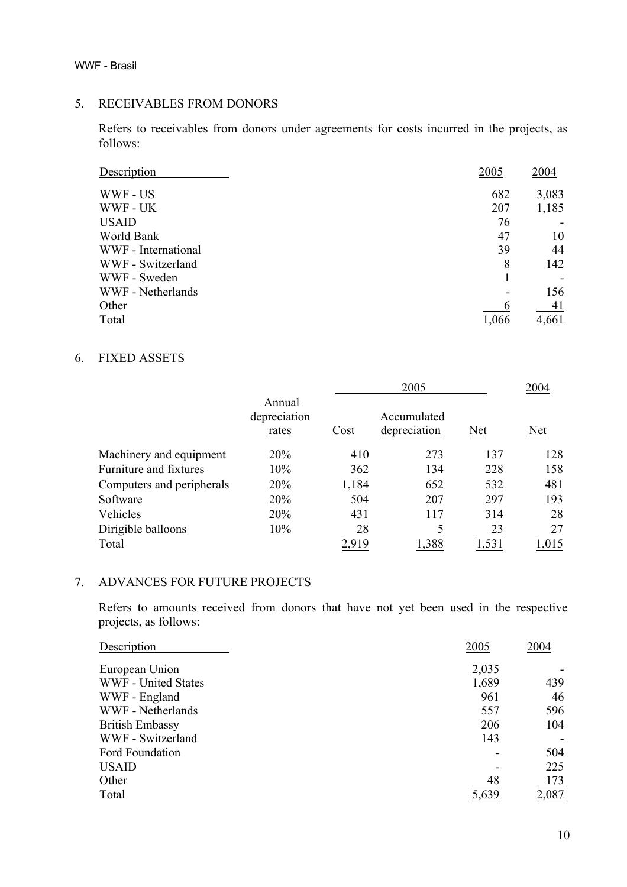WWF - Brasil

#### 5. RECEIVABLES FROM DONORS

Refers to receivables from donors under agreements for costs incurred in the projects, as follows:

| Description         | 2005  | 2004  |
|---------------------|-------|-------|
| WWF - US            | 682   | 3,083 |
| WWF - UK            | 207   | 1,185 |
| <b>USAID</b>        | 76    |       |
| World Bank          | 47    | 10    |
| WWF - International | 39    | 44    |
| WWF - Switzerland   | 8     | 142   |
| WWF - Sweden        |       |       |
| WWF - Netherlands   |       | 156   |
| Other               |       | 41    |
| Total               | 1.066 | 4,661 |

# 6. FIXED ASSETS

|                           |                                 |       | 2005                        |     |      |
|---------------------------|---------------------------------|-------|-----------------------------|-----|------|
|                           | Annual<br>depreciation<br>rates | Cost  | Accumulated<br>depreciation | Net | Net  |
| Machinery and equipment   | 20%                             | 410   | 273                         | 137 | 128  |
| Furniture and fixtures    | 10%                             | 362   | 134                         | 228 | 158  |
| Computers and peripherals | 20%                             | 1,184 | 652                         | 532 | 481  |
| Software                  | 20%                             | 504   | 207                         | 297 | 193  |
| Vehicles                  | 20%                             | 431   | 117                         | 314 | 28   |
| Dirigible balloons        | 10%                             | 28    |                             | 23  | 27   |
| Total                     |                                 |       |                             |     | .015 |

#### 7. ADVANCES FOR FUTURE PROJECTS

Refers to amounts received from donors that have not yet been used in the respective projects, as follows:

| Description                | 2005  | 2004  |
|----------------------------|-------|-------|
| European Union             | 2,035 |       |
| <b>WWF</b> - United States | 1,689 | 439   |
| WWF - England              | 961   | 46    |
| WWF - Netherlands          | 557   | 596   |
| <b>British Embassy</b>     | 206   | 104   |
| WWF - Switzerland          | 143   |       |
| Ford Foundation            |       | 504   |
| <b>USAID</b>               |       | 225   |
| Other                      | 48    | 173   |
| Total                      | 5,639 | 2,087 |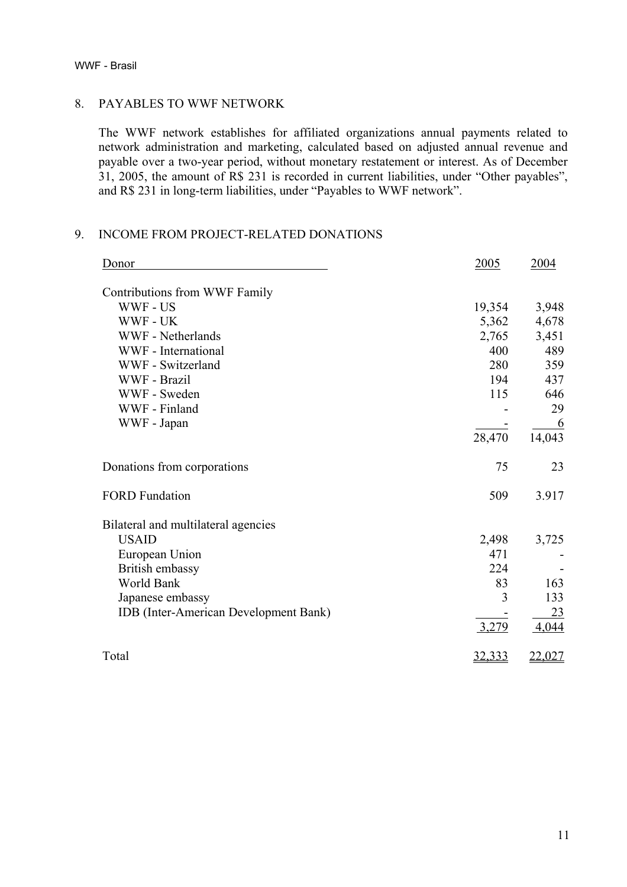#### WWF - Brasil

#### 8. PAYABLES TO WWF NETWORK

The WWF network establishes for affiliated organizations annual payments related to network administration and marketing, calculated based on adjusted annual revenue and payable over a two-year period, without monetary restatement or interest. As of December 31, 2005, the amount of R\$ 231 is recorded in current liabilities, under "Other payables", and R\$ 231 in long-term liabilities, under "Payables to WWF network".

# 9. INCOME FROM PROJECT-RELATED DONATIONS

| Donor                                        | 2005          | 2004     |
|----------------------------------------------|---------------|----------|
| Contributions from WWF Family                |               |          |
| WWF - US                                     | 19,354        | 3,948    |
| WWF - UK                                     | 5,362         | 4,678    |
| <b>WWF</b> - Netherlands                     | 2,765         | 3,451    |
| WWF - International                          | 400           | 489      |
| WWF - Switzerland                            | 280           | 359      |
| WWF - Brazil                                 | 194           | 437      |
| WWF - Sweden                                 | 115           | 646      |
| WWF - Finland                                |               | 29       |
| WWF - Japan                                  |               | <u>6</u> |
|                                              | 28,470        | 14,043   |
| Donations from corporations                  | 75            | 23       |
| <b>FORD Fundation</b>                        | 509           | 3.917    |
| Bilateral and multilateral agencies          |               |          |
| <b>USAID</b>                                 | 2,498         | 3,725    |
| European Union                               | 471           |          |
| British embassy                              | 224           |          |
| World Bank                                   | 83            | 163      |
| Japanese embassy                             | 3             | 133      |
| <b>IDB</b> (Inter-American Development Bank) |               | 23       |
|                                              | 3,279         | 4,044    |
| Total                                        | <u>32,333</u> | 22,027   |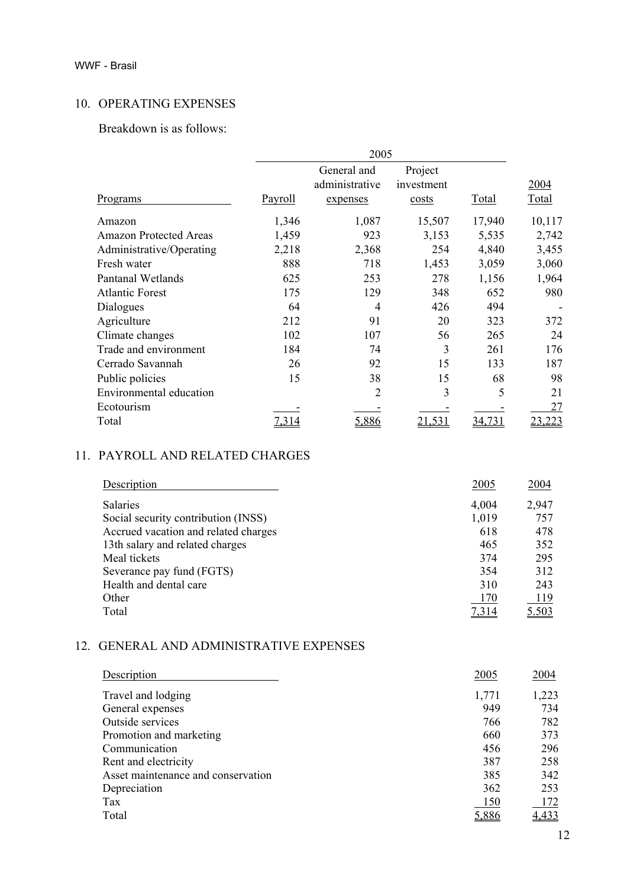# 10. OPERATING EXPENSES

Breakdown is as follows:

|                                |                | 2005           |            |              |              |
|--------------------------------|----------------|----------------|------------|--------------|--------------|
|                                |                | General and    | Project    |              |              |
|                                |                | administrative | investment |              | 2004         |
| Programs                       | <b>Payroll</b> | expenses       | costs      | <b>Total</b> | <b>Total</b> |
| Amazon                         | 1,346          | 1,087          | 15,507     | 17,940       | 10,117       |
| <b>Amazon Protected Areas</b>  | 1,459          | 923            | 3,153      | 5,535        | 2,742        |
| Administrative/Operating       | 2,218          | 2,368          | 254        | 4,840        | 3,455        |
| Fresh water                    | 888            | 718            | 1,453      | 3,059        | 3,060        |
| <b>Pantanal Wetlands</b>       | 625            | 253            | 278        | 1,156        | 1,964        |
| <b>Atlantic Forest</b>         | 175            | 129            | 348        | 652          | 980          |
| Dialogues                      | 64             | 4              | 426        | 494          |              |
| Agriculture                    | 212            | 91             | 20         | 323          | 372          |
| Climate changes                | 102            | 107            | 56         | 265          | 24           |
| Trade and environment          | 184            | 74             | 3          | 261          | 176          |
| Cerrado Savannah               | 26             | 92             | 15         | 133          | 187          |
| Public policies                | 15             | 38             | 15         | 68           | 98           |
| <b>Environmental education</b> |                | 2              | 3          | 5            | 21           |
| Ecotourism                     |                |                |            |              | 27           |
| Total                          | 7.314          | 5,886          | 21,531     | 34,731       | 23,223       |

# 11. PAYROLL AND RELATED CHARGES

| Description                          | 2005  | 2004       |
|--------------------------------------|-------|------------|
| <b>Salaries</b>                      | 4,004 | 2,947      |
| Social security contribution (INSS)  | 1,019 | 757        |
| Accrued vacation and related charges | 618   | 478        |
| 13th salary and related charges      | 465   | 352        |
| Meal tickets                         | 374   | 295        |
| Severance pay fund (FGTS)            | 354   | 312        |
| Health and dental care               | 310   | 243        |
| Other                                | 170   | <u>119</u> |
| Total                                |       | 5.503      |

# 12. GENERAL AND ADMINISTRATIVE EXPENSES

| Description                        | 2005  | 2004       |
|------------------------------------|-------|------------|
| Travel and lodging                 | 1,771 | 1,223      |
| General expenses                   | 949   | 734        |
| Outside services                   | 766   | 782        |
| Promotion and marketing            | 660   | 373        |
| Communication                      | 456   | 296        |
| Rent and electricity               | 387   | 258        |
| Asset maintenance and conservation | 385   | 342        |
| Depreciation                       | 362   | 253        |
| Tax                                | 150   | <u>172</u> |
| Total                              | 5,886 | 4,433      |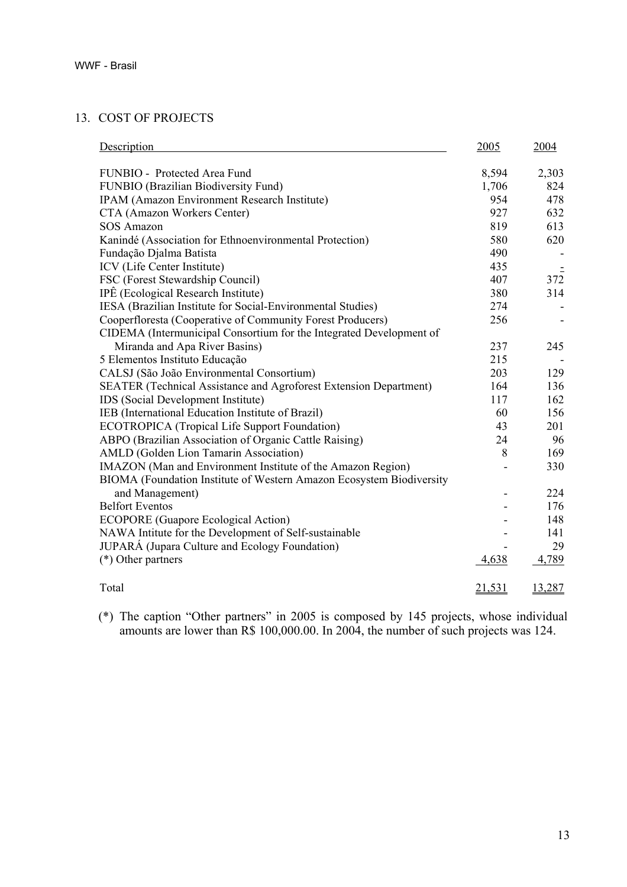# 13. COST OF PROJECTS

| Description                                                              |        | 2004   |  |
|--------------------------------------------------------------------------|--------|--------|--|
| FUNBIO - Protected Area Fund                                             |        | 2,303  |  |
| FUNBIO (Brazilian Biodiversity Fund)                                     |        | 824    |  |
| IPAM (Amazon Environment Research Institute)                             |        | 478    |  |
| CTA (Amazon Workers Center)                                              |        | 632    |  |
| <b>SOS Amazon</b>                                                        |        | 613    |  |
| Kanindé (Association for Ethnoenvironmental Protection)                  |        | 620    |  |
| Fundação Djalma Batista                                                  | 490    |        |  |
| ICV (Life Center Institute)                                              | 435    |        |  |
| FSC (Forest Stewardship Council)                                         | 407    | 372    |  |
| IPÊ (Ecological Research Institute)                                      |        | 314    |  |
| IESA (Brazilian Institute for Social-Environmental Studies)              | 274    |        |  |
| Cooperfloresta (Cooperative of Community Forest Producers)               | 256    |        |  |
| CIDEMA (Intermunicipal Consortium for the Integrated Development of      |        |        |  |
| Miranda and Apa River Basins)                                            | 237    | 245    |  |
| 5 Elementos Instituto Educação                                           | 215    |        |  |
| CALSJ (São João Environmental Consortium)                                |        | 129    |  |
| <b>SEATER</b> (Technical Assistance and Agroforest Extension Department) |        | 136    |  |
| IDS (Social Development Institute)                                       |        | 162    |  |
| IEB (International Education Institute of Brazil)                        |        | 156    |  |
| <b>ECOTROPICA</b> (Tropical Life Support Foundation)                     | 43     | 201    |  |
| ABPO (Brazilian Association of Organic Cattle Raising)                   |        | 96     |  |
| AMLD (Golden Lion Tamarin Association)                                   |        | 169    |  |
| IMAZON (Man and Environment Institute of the Amazon Region)              |        | 330    |  |
| BIOMA (Foundation Institute of Western Amazon Ecosystem Biodiversity     |        |        |  |
| and Management)                                                          |        | 224    |  |
| <b>Belfort Eventos</b>                                                   |        | 176    |  |
| <b>ECOPORE</b> (Guapore Ecological Action)                               |        | 148    |  |
| NAWA Intitute for the Development of Self-sustainable                    |        | 141    |  |
| JUPARÁ (Jupara Culture and Ecology Foundation)                           |        | 29     |  |
| $(*)$ Other partners                                                     | 4,638  | 4,789  |  |
| Total                                                                    | 21,531 | 13,287 |  |

(\*) The caption "Other partners" in 2005 is composed by 145 projects, whose individual amounts are lower than R\$ 100,000.00. In 2004, the number of such projects was 124.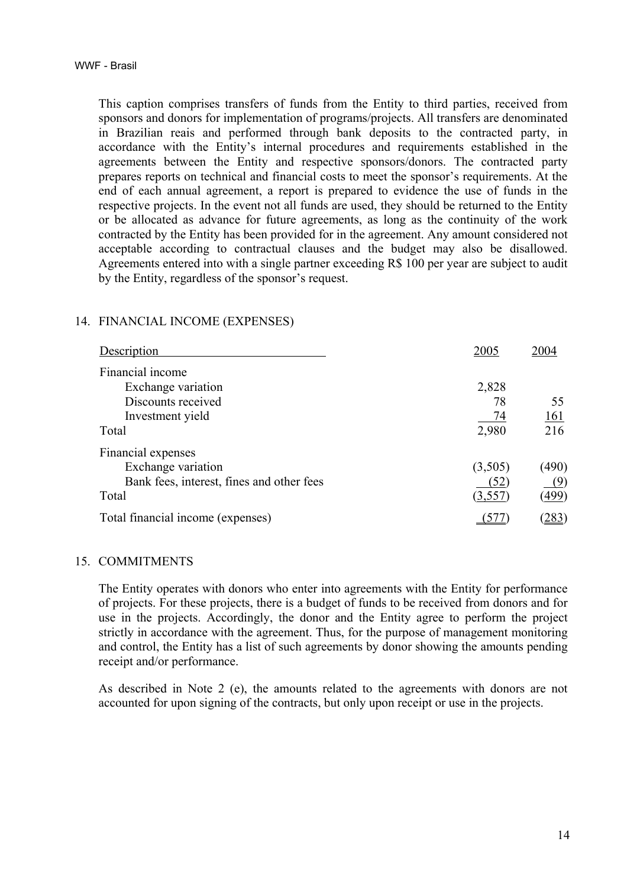This caption comprises transfers of funds from the Entity to third parties, received from sponsors and donors for implementation of programs/projects. All transfers are denominated in Brazilian reais and performed through bank deposits to the contracted party, in accordance with the Entity's internal procedures and requirements established in the agreements between the Entity and respective sponsors/donors. The contracted party prepares reports on technical and financial costs to meet the sponsor's requirements. At the end of each annual agreement, a report is prepared to evidence the use of funds in the respective projects. In the event not all funds are used, they should be returned to the Entity or be allocated as advance for future agreements, as long as the continuity of the work contracted by the Entity has been provided for in the agreement. Any amount considered not acceptable according to contractual clauses and the budget may also be disallowed. Agreements entered into with a single partner exceeding R\$ 100 per year are subject to audit by the Entity, regardless of the sponsor's request.

#### 14. FINANCIAL INCOME (EXPENSES)

| Description                               | 2005    | 2004         |
|-------------------------------------------|---------|--------------|
| Financial income                          |         |              |
| Exchange variation                        | 2,828   |              |
| Discounts received                        | 78      | 55           |
| Investment yield                          | 74      | <u>161</u>   |
| Total                                     | 2,980   | 216          |
| Financial expenses                        |         |              |
| Exchange variation                        | (3,505) | (490)        |
| Bank fees, interest, fines and other fees | (52)    | (9)          |
| Total                                     | (3,557) | (499)        |
| Total financial income (expenses)         |         | <u> 283 </u> |

#### 15. COMMITMENTS

The Entity operates with donors who enter into agreements with the Entity for performance of projects. For these projects, there is a budget of funds to be received from donors and for use in the projects. Accordingly, the donor and the Entity agree to perform the project strictly in accordance with the agreement. Thus, for the purpose of management monitoring and control, the Entity has a list of such agreements by donor showing the amounts pending receipt and/or performance.

As described in Note 2 (e), the amounts related to the agreements with donors are not accounted for upon signing of the contracts, but only upon receipt or use in the projects.